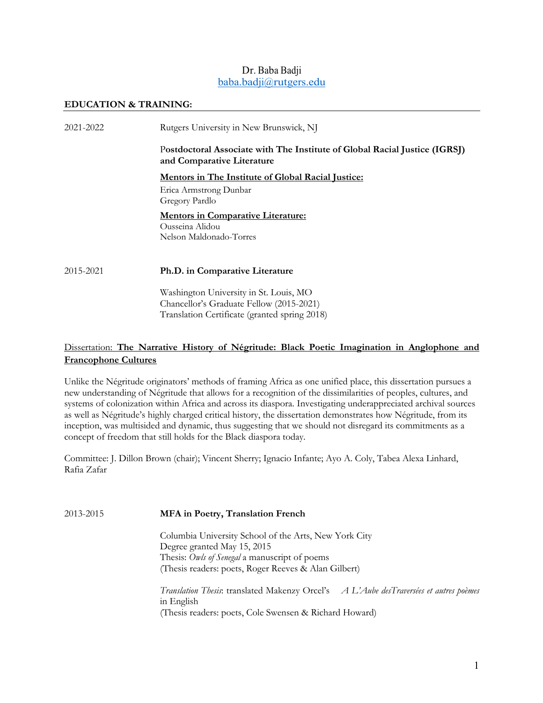# Dr. Baba Badji baba.badji@rutgers.edu

### **EDUCATION & TRAINING:**

| 2021-2022 | Rutgers University in New Brunswick, NJ                                                                  |
|-----------|----------------------------------------------------------------------------------------------------------|
|           | Postdoctoral Associate with The Institute of Global Racial Justice (IGRSJ)<br>and Comparative Literature |
|           | <b>Mentors in The Institute of Global Racial Justice:</b>                                                |
|           | Erica Armstrong Dunbar<br>Gregory Pardlo                                                                 |
|           | <b>Mentors in Comparative Literature:</b><br>Ousseina Alidou<br>Nelson Maldonado-Torres                  |
| 2015-2021 | Ph.D. in Comparative Literature                                                                          |
|           | Washington University in St. Louis, MO<br>Chancellor's Graduate Fellow (2015-2021)                       |

# Dissertation: **The Narrative History of Négritude: Black Poetic Imagination in Anglophone and Francophone Cultures**

Translation Certificate (granted spring 2018)

Unlike the Négritude originators' methods of framing Africa as one unified place, this dissertation pursues a new understanding of Négritude that allows for a recognition of the dissimilarities of peoples, cultures, and systems of colonization within Africa and across its diaspora. Investigating underappreciated archival sources as well as Négritude's highly charged critical history, the dissertation demonstrates how Négritude, from its inception, was multisided and dynamic, thus suggesting that we should not disregard its commitments as a concept of freedom that still holds for the Black diaspora today.

Committee: J. Dillon Brown (chair); Vincent Sherry; Ignacio Infante; Ayo A. Coly, Tabea Alexa Linhard, Rafia Zafar

2013-2015 **MFA in Poetry, Translation French** 

Columbia University School of the Arts, New York City Degree granted May 15, 2015 Thesis: *Owls of Senegal* a manuscript of poems (Thesis readers: poets, Roger Reeves & Alan Gilbert)

*Translation Thesis*: translated Makenzy Orcel's *A L'Aube desTraversées et autres poèmes* in English (Thesis readers: poets, Cole Swensen & Richard Howard)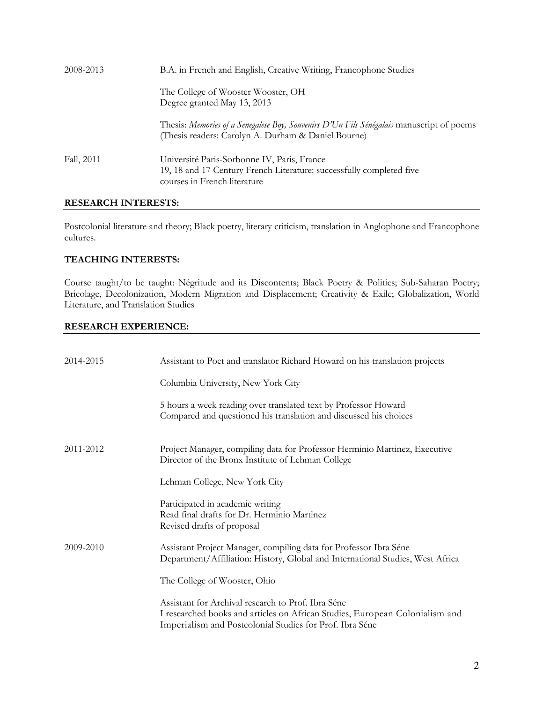| 2008-2013  | B.A. in French and English, Creative Writing, Francophone Studies                                                                                   |
|------------|-----------------------------------------------------------------------------------------------------------------------------------------------------|
|            | The College of Wooster Wooster, OH<br>Degree granted May 13, 2013                                                                                   |
|            | Thesis: Memories of a Senegalese Boy, Souvenirs D'Un Fils Sénégalais manuscript of poems<br>(Thesis readers: Carolyn A. Durham & Daniel Bourne)     |
| Fall, 2011 | Université Paris-Sorbonne IV, Paris, France<br>19, 18 and 17 Century French Literature: successfully completed five<br>courses in French literature |

# **RESEARCH INTERESTS:**

Postcolonial literature and theory; Black poetry, literary criticism, translation in Anglophone and Francophone cultures.

# **TEACHING INTERESTS:**

Course taught/to be taught: Négritude and its Discontents; Black Poetry & Politics; Sub-Saharan Poetry; Bricolage, Decolonization, Modern Migration and Displacement; Creativity & Exile; Globalization, World Literature, and Translation Studies

### **RESEARCH EXPERIENCE:**

| 2014-2015 | Assistant to Poet and translator Richard Howard on his translation projects                                                                                                                    |
|-----------|------------------------------------------------------------------------------------------------------------------------------------------------------------------------------------------------|
|           | Columbia University, New York City                                                                                                                                                             |
|           | 5 hours a week reading over translated text by Professor Howard<br>Compared and questioned his translation and discussed his choices                                                           |
| 2011-2012 | Project Manager, compiling data for Professor Herminio Martinez, Executive<br>Director of the Bronx Institute of Lehman College                                                                |
|           | Lehman College, New York City                                                                                                                                                                  |
|           | Participated in academic writing<br>Read final drafts for Dr. Herminio Martinez<br>Revised drafts of proposal                                                                                  |
| 2009-2010 | Assistant Project Manager, compiling data for Professor Ibra Séne<br>Department/Affiliation: History, Global and International Studies, West Africa                                            |
|           | The College of Wooster, Ohio                                                                                                                                                                   |
|           | Assistant for Archival research to Prof. Ibra Séne<br>I researched books and articles on African Studies, European Colonialism and<br>Imperialism and Postcolonial Studies for Prof. Ibra Séne |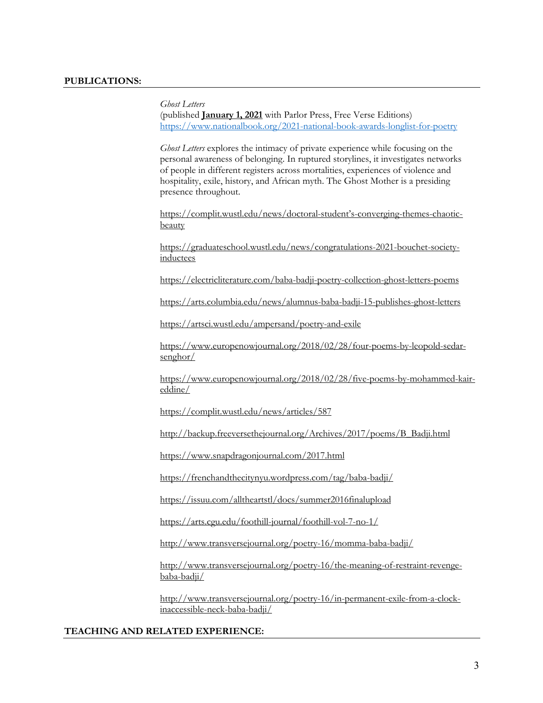*Ghost Letters* 

(published **January 1, 2021** with Parlor Press, Free Verse Editions) https://www.nationalbook.org/2021-national-book-awards-longlist-for-poetry

*Ghost Letters* explores the intimacy of private experience while focusing on the personal awareness of belonging. In ruptured storylines, it investigates networks of people in different registers across mortalities, experiences of violence and hospitality, exile, history, and African myth. The Ghost Mother is a presiding presence throughout.

https://complit.wustl.edu/news/doctoral-student's-converging-themes-chaoticbeauty

https://graduateschool.wustl.edu/news/congratulations-2021-bouchet-societyinductees

https://electricliterature.com/baba-badji-poetry-collection-ghost-letters-poems

https://arts.columbia.edu/news/alumnus-baba-badji-15-publishes-ghost-letters

https://artsci.wustl.edu/ampersand/poetry-and-exile

https://www.europenowjournal.org/2018/02/28/four-poems-by-leopold-sedarsenghor/

https://www.europenowjournal.org/2018/02/28/five-poems-by-mohammed-kaireddine/

https://complit.wustl.edu/news/articles/587

http://backup.freeversethejournal.org/Archives/2017/poems/B\_Badji.html

https://www.snapdragonjournal.com/2017.html

https://frenchandthecitynyu.wordpress.com/tag/baba-badji/

https://issuu.com/alltheartstl/docs/summer2016finalupload

https://arts.cgu.edu/foothill-journal/foothill-vol-7-no-1/

http://www.transversejournal.org/poetry-16/momma-baba-badji/

http://www.transversejournal.org/poetry-16/the-meaning-of-restraint-revengebaba-badji/

http://www.transversejournal.org/poetry-16/in-permanent-exile-from-a-clockinaccessible-neck-baba-badji/

### **TEACHING AND RELATED EXPERIENCE:**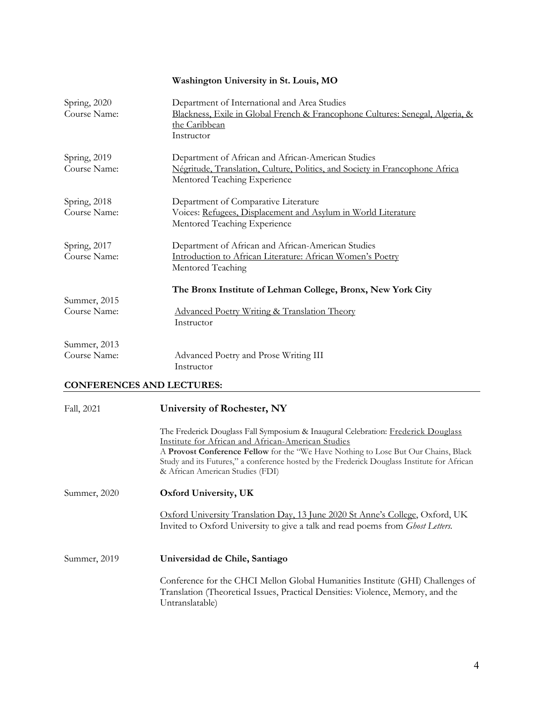# **Washington University in St. Louis, MO**

| Spring, 2020<br>Course Name: | Department of International and Area Studies<br>Blackness, Exile in Global French & Francophone Cultures: Senegal, Algeria, &<br>the Caribbean<br>Instructor       |
|------------------------------|--------------------------------------------------------------------------------------------------------------------------------------------------------------------|
| Spring, 2019<br>Course Name: | Department of African and African-American Studies<br>Négritude, Translation, Culture, Politics, and Society in Francophone Africa<br>Mentored Teaching Experience |
| Spring, 2018<br>Course Name: | Department of Comparative Literature<br>Voices: Refugees, Displacement and Asylum in World Literature<br>Mentored Teaching Experience                              |
| Spring, 2017<br>Course Name: | Department of African and African-American Studies<br>Introduction to African Literature: African Women's Poetry<br>Mentored Teaching                              |
| Summer, 2015<br>Course Name: | The Bronx Institute of Lehman College, Bronx, New York City<br>Advanced Poetry Writing & Translation Theory<br>Instructor                                          |
| Summer, 2013<br>Course Name: | Advanced Poetry and Prose Writing III<br>Instructor                                                                                                                |

# **CONFERENCES AND LECTURES:**

| Fall, 2021   | University of Rochester, NY                                                                                                                                                                                                                                                                                                                                             |
|--------------|-------------------------------------------------------------------------------------------------------------------------------------------------------------------------------------------------------------------------------------------------------------------------------------------------------------------------------------------------------------------------|
|              | The Frederick Douglass Fall Symposium & Inaugural Celebration: Frederick Douglass<br>Institute for African and African-American Studies<br>A <b>Provost Conference Fellow</b> for the "We Have Nothing to Lose But Our Chains, Black<br>Study and its Futures," a conference hosted by the Frederick Douglass Institute for African<br>& African American Studies (FDI) |
| Summer, 2020 | <b>Oxford University, UK</b>                                                                                                                                                                                                                                                                                                                                            |
|              | Oxford University Translation Day, 13 June 2020 St Anne's College, Oxford, UK<br>Invited to Oxford University to give a talk and read poems from <i>Ghost Letters</i> .                                                                                                                                                                                                 |
| Summer, 2019 | Universidad de Chile, Santiago                                                                                                                                                                                                                                                                                                                                          |
|              | Conference for the CHCI Mellon Global Humanities Institute (GHI) Challenges of<br>Translation (Theoretical Issues, Practical Densities: Violence, Memory, and the<br>Untranslatable)                                                                                                                                                                                    |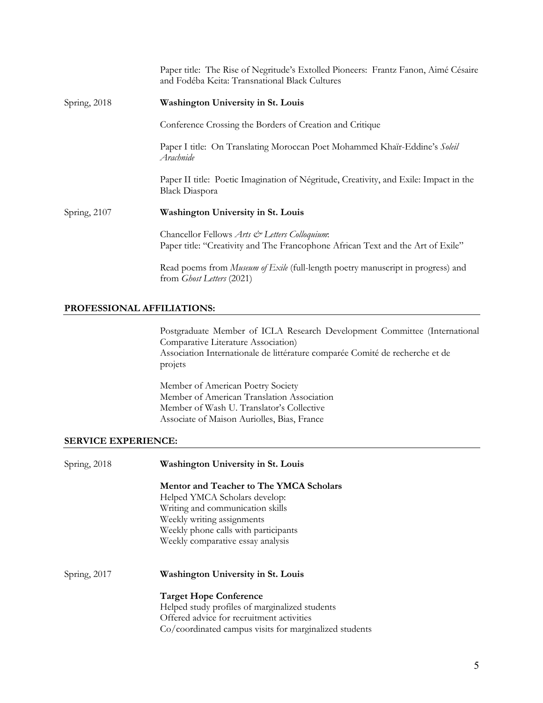|              | Paper title: The Rise of Negritude's Extolled Pioneers: Frantz Fanon, Aimé Césaire<br>and Fodéba Keita: Transnational Black Cultures |
|--------------|--------------------------------------------------------------------------------------------------------------------------------------|
| Spring, 2018 | <b>Washington University in St. Louis</b>                                                                                            |
|              | Conference Crossing the Borders of Creation and Critique                                                                             |
|              | Paper I title: On Translating Moroccan Poet Mohammed Khaïr-Eddine's Soleil<br>Arachnide                                              |
|              | Paper II title: Poetic Imagination of Négritude, Creativity, and Exile: Impact in the<br><b>Black Diaspora</b>                       |
| Spring, 2107 | <b>Washington University in St. Louis</b>                                                                                            |
|              | Chancellor Fellows Arts & Letters Colloquium:<br>Paper title: "Creativity and The Francophone African Text and the Art of Exile"     |
|              | Read poems from Museum of Exile (full-length poetry manuscript in progress) and<br>from <i>Ghost Letters</i> (2021)                  |

## **PROFESSIONAL AFFILIATIONS:**

Postgraduate Member of ICLA Research Development Committee (International Comparative Literature Association) Association Internationale de littérature comparée Comité de recherche et de projets

Member of American Poetry Society Member of American Translation Association Member of Wash U. Translator's Collective Associate of Maison Auriolles, Bias, France

### **SERVICE EXPERIENCE:**

| Spring, 2018 | Washington University in St. Louis                                                                                      |
|--------------|-------------------------------------------------------------------------------------------------------------------------|
|              | <b>Mentor and Teacher to The YMCA Scholars</b>                                                                          |
|              | Helped YMCA Scholars develop:                                                                                           |
|              | Writing and communication skills                                                                                        |
|              | Weekly writing assignments                                                                                              |
|              |                                                                                                                         |
|              | Weekly comparative essay analysis                                                                                       |
| Spring, 2017 | <b>Washington University in St. Louis</b>                                                                               |
|              |                                                                                                                         |
|              |                                                                                                                         |
|              | Offered advice for recruitment activities                                                                               |
|              | Co/coordinated campus visits for marginalized students                                                                  |
|              | Weekly phone calls with participants<br><b>Target Hope Conference</b><br>Helped study profiles of marginalized students |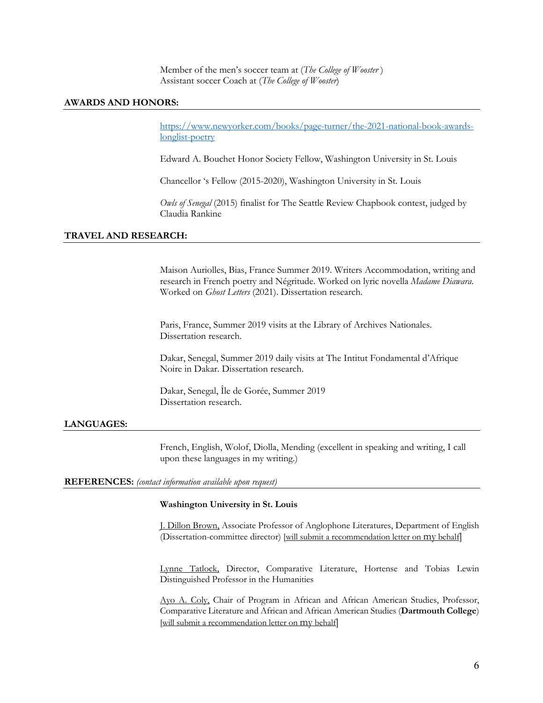Member of the men's soccer team at (*The College of Wooster* ) Assistant soccer Coach at (*The College of Wooster*)

### **AWARDS AND HONORS:**

https://www.newyorker.com/books/page-turner/the-2021-national-book-awardslonglist-poetry

Edward A. Bouchet Honor Society Fellow, Washington University in St. Louis

Chancellor 's Fellow (2015-2020), Washington University in St. Louis

*Owls of Senegal* (2015) finalist for The Seattle Review Chapbook contest, judged by Claudia Rankine

### **TRAVEL AND RESEARCH:**

Maison Auriolles, Bias, France Summer 2019. Writers Accommodation, writing and research in French poetry and Négritude. Worked on lyric novella *Madame Diawara*. Worked on *Ghost Letters* (2021). Dissertation research.

Paris, France, Summer 2019 visits at the Library of Archives Nationales. Dissertation research.

Dakar, Senegal, Summer 2019 daily visits at The Intitut Fondamental d'Afrique Noire in Dakar. Dissertation research.

Dakar, Senegal, Île de Gorée, Summer 2019 Dissertation research.

### **LANGUAGES:**

French, English, Wolof, Diolla, Mending (excellent in speaking and writing, I call upon these languages in my writing.)

#### **REFERENCES:** *(contact information available upon request)*

#### **Washington University in St. Louis**

J. Dillon Brown, Associate Professor of Anglophone Literatures, Department of English (Dissertation-committee director) [will submit a recommendation letter on my behalf]

Lynne Tatlock, Director, Comparative Literature, Hortense and Tobias Lewin Distinguished Professor in the Humanities

Ayo A. Coly, Chair of Program in African and African American Studies, Professor, Comparative Literature and African and African American Studies (**Dartmouth College**) [will submit a recommendation letter on my behalf]